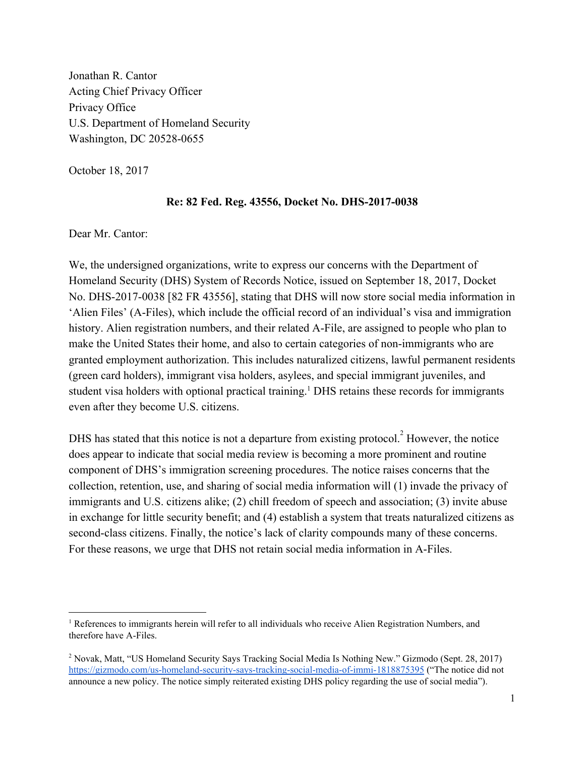Jonathan R. Cantor Acting Chief Privacy Officer Privacy Office U.S. Department of Homeland Security Washington, DC 20528-0655

October 18, 2017

#### **Re: 82 Fed. Reg. 43556, Docket No. DHS-2017-0038**

Dear Mr. Cantor:

We, the undersigned organizations, write to express our concerns with the Department of Homeland Security (DHS) System of Records Notice, issued on September 18, 2017, Docket No. DHS-2017-0038 [82 FR 43556], stating that DHS will now store social media information in 'Alien Files' (A-Files), which include the official record of an individual's visa and immigration history. Alien registration numbers, and their related A-File, are assigned to people who plan to make the United States their home, and also to certain categories of non-immigrants who are granted employment authorization. This includes naturalized citizens, lawful permanent residents (green card holders), immigrant visa holders, asylees, and special immigrant juveniles, and student visa holders with optional practical training.<sup>1</sup> DHS retains these records for immigrants even after they become U.S. citizens.

DHS has stated that this notice is not a departure from existing protocol.<sup>2</sup> However, the notice does appear to indicate that social media review is becoming a more prominent and routine component of DHS's immigration screening procedures. The notice raises concerns that the collection, retention, use, and sharing of social media information will (1) invade the privacy of immigrants and U.S. citizens alike; (2) chill freedom of speech and association; (3) invite abuse in exchange for little security benefit; and (4) establish a system that treats naturalized citizens as second-class citizens. Finally, the notice's lack of clarity compounds many of these concerns. For these reasons, we urge that DHS not retain social media information in A-Files.

<sup>&</sup>lt;sup>1</sup> References to immigrants herein will refer to all individuals who receive Alien Registration Numbers, and therefore have A-Files.

<sup>2</sup> Novak, Matt, "US Homeland Security Says Tracking Social Media Is Nothing New." Gizmodo (Sept. 28, 2017) <https://gizmodo.com/us-homeland-security-says-tracking-social-media-of-immi-1818875395> ("The notice did not announce a new policy. The notice simply reiterated existing DHS policy regarding the use of social media").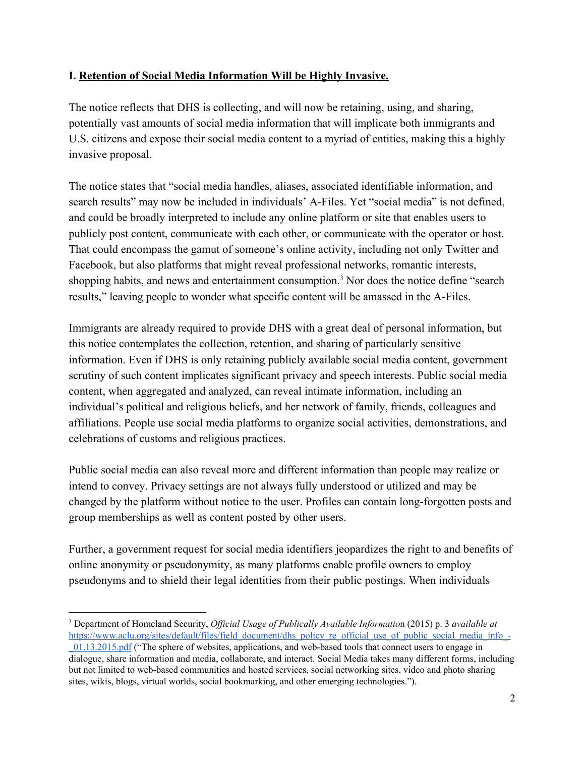### **I. Retention of Social Media Information Will be Highly Invasive.**

The notice reflects that DHS is collecting, and will now be retaining, using, and sharing, potentially vast amounts of social media information that will implicate both immigrants and U.S. citizens and expose their social media content to a myriad of entities, making this a highly invasive proposal.

The notice states that "social media handles, aliases, associated identifiable information, and search results" may now be included in individuals' A-Files. Yet "social media" is not defined, and could be broadly interpreted to include any online platform or site that enables users to publicly post content, communicate with each other, or communicate with the operator or host. That could encompass the gamut of someone's online activity, including not only Twitter and Facebook, but also platforms that might reveal professional networks, romantic interests, shopping habits, and news and entertainment consumption.<sup>3</sup> Nor does the notice define "search results," leaving people to wonder what specific content will be amassed in the A-Files.

Immigrants are already required to provide DHS with a great deal of personal information, but this notice contemplates the collection, retention, and sharing of particularly sensitive information. Even if DHS is only retaining publicly available social media content, government scrutiny of such content implicates significant privacy and speech interests. Public social media content, when aggregated and analyzed, can reveal intimate information, including an individual's political and religious beliefs, and her network of family, friends, colleagues and affiliations. People use social media platforms to organize social activities, demonstrations, and celebrations of customs and religious practices.

Public social media can also reveal more and different information than people may realize or intend to convey. Privacy settings are not always fully understood or utilized and may be changed by the platform without notice to the user. Profiles can contain long-forgotten posts and group memberships as well as content posted by other users.

Further, a government request for social media identifiers jeopardizes the right to and benefits of online anonymity or pseudonymity, as many platforms enable profile owners to employ pseudonyms and to shield their legal identities from their public postings. When individuals

<sup>3</sup> Department of Homeland Security, *Of icial Usage of Publically Available Informatio*n (2015) p. 3 *available at* [https://www.aclu.org/sites/default/files/field\\_document/dhs\\_policy\\_re\\_official\\_use\\_of\\_public\\_social\\_media\\_info\\_-](https://www.aclu.org/sites/default/files/field_document/dhs_policy_re_official_use_of_public_social_media_info_-_01.13.2015.pdf)

[\\_01.13.2015.pdf](https://www.aclu.org/sites/default/files/field_document/dhs_policy_re_official_use_of_public_social_media_info_-_01.13.2015.pdf) ("The sphere of websites, applications, and web-based tools that connect users to engage in dialogue, share information and media, collaborate, and interact. Social Media takes many different forms, including but not limited to web-based communities and hosted services, social networking sites, video and photo sharing sites, wikis, blogs, virtual worlds, social bookmarking, and other emerging technologies.").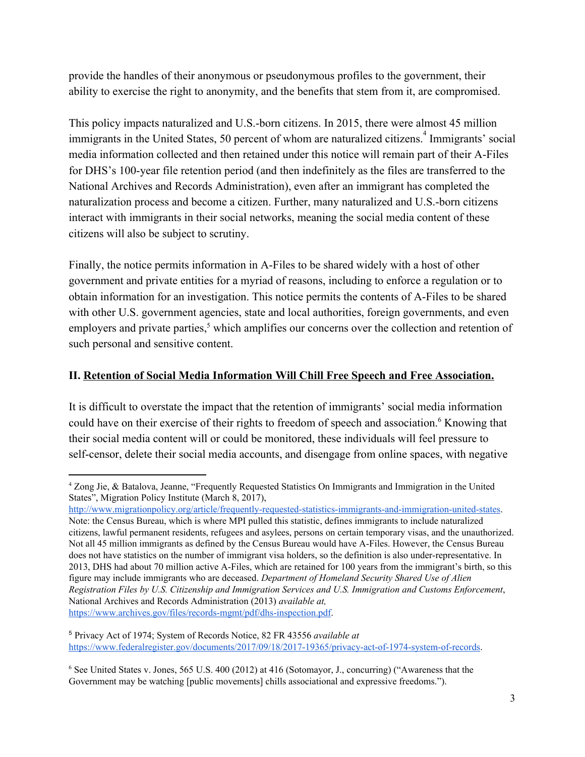provide the handles of their anonymous or pseudonymous profiles to the government, their ability to exercise the right to anonymity, and the benefits that stem from it, are compromised.

This policy impacts naturalized and U.S.-born citizens. In 2015, there were almost 45 million immigrants in the United States, 50 percent of whom are naturalized citizens.<sup>4</sup> Immigrants' social media information collected and then retained under this notice will remain part of their A-Files for DHS's 100-year file retention period (and then indefinitely as the files are transferred to the National Archives and Records Administration), even after an immigrant has completed the naturalization process and become a citizen. Further, many naturalized and U.S.-born citizens interact with immigrants in their social networks, meaning the social media content of these citizens will also be subject to scrutiny.

Finally, the notice permits information in A-Files to be shared widely with a host of other government and private entities for a myriad of reasons, including to enforce a regulation or to obtain information for an investigation. This notice permits the contents of A-Files to be shared with other U.S. government agencies, state and local authorities, foreign governments, and even employers and private parties, $<sup>5</sup>$  which amplifies our concerns over the collection and retention of</sup> such personal and sensitive content.

### **II. Retention of Social Media Information Will Chill Free Speech and Free Association.**

It is difficult to overstate the impact that the retention of immigrants' social media information could have on their exercise of their rights to freedom of speech and association.<sup>6</sup> Knowing that their social media content will or could be monitored, these individuals will feel pressure to self-censor, delete their social media accounts, and disengage from online spaces, with negative

[http://www.migrationpolicy.org/article/frequently-requested-statistics-immigrants-and-immigration-united-states.](http://www.migrationpolicy.org/article/frequently-requested-statistics-immigrants-and-immigration-united-states)

<sup>4</sup> Zong Jie, & Batalova, Jeanne, "Frequently Requested Statistics On Immigrants and Immigration in the United States", Migration Policy Institute (March 8, 2017),

Note: the Census Bureau, which is where MPI pulled this statistic, defines immigrants to include naturalized citizens, lawful permanent residents, refugees and asylees, persons on certain temporary visas, and the unauthorized. Not all 45 million immigrants as defined by the Census Bureau would have A-Files. However, the Census Bureau does not have statistics on the number of immigrant visa holders, so the definition is also under-representative. In 2013, DHS had about 70 million active A-Files, which are retained for 100 years from the immigrant's birth, so this figure may include immigrants who are deceased. *Department of Homeland Security Shared Use of Alien Registration Files by U.S. Citizenship and Immigration Services and U.S. Immigration and Customs Enforcement*, National Archives and Records Administration (2013) *available at,* <https://www.archives.gov/files/records-mgmt/pdf/dhs-inspection.pdf>.

<sup>5</sup> Privacy Act of 1974; System of Records Notice, 82 FR 43556 *available at* <https://www.federalregister.gov/documents/2017/09/18/2017-19365/privacy-act-of-1974-system-of-records>.

<sup>6</sup> See United States v. Jones, 565 U.S. 400 (2012) at 416 (Sotomayor, J., concurring) ("Awareness that the Government may be watching [public movements] chills associational and expressive freedoms.").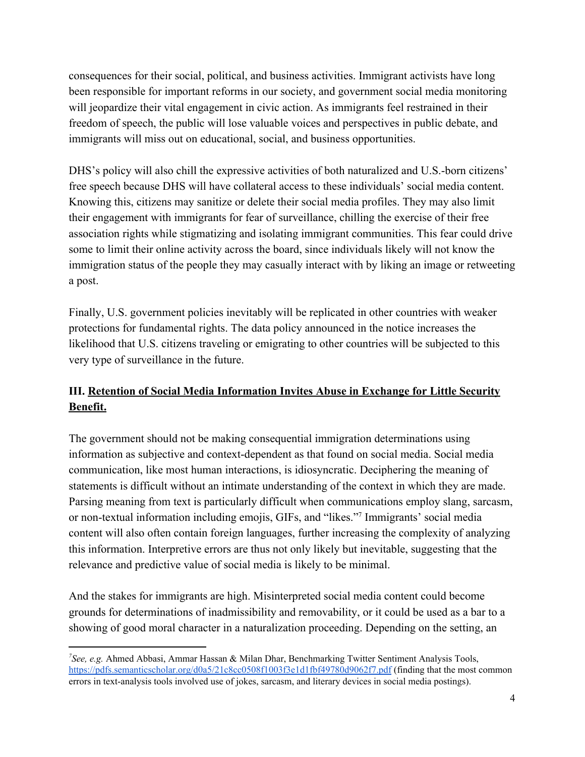consequences for their social, political, and business activities. Immigrant activists have long been responsible for important reforms in our society, and government social media monitoring will jeopardize their vital engagement in civic action. As immigrants feel restrained in their freedom of speech, the public will lose valuable voices and perspectives in public debate, and immigrants will miss out on educational, social, and business opportunities.

DHS's policy will also chill the expressive activities of both naturalized and U.S.-born citizens' free speech because DHS will have collateral access to these individuals' social media content. Knowing this, citizens may sanitize or delete their social media profiles. They may also limit their engagement with immigrants for fear of surveillance, chilling the exercise of their free association rights while stigmatizing and isolating immigrant communities. This fear could drive some to limit their online activity across the board, since individuals likely will not know the immigration status of the people they may casually interact with by liking an image or retweeting a post.

Finally, U.S. government policies inevitably will be replicated in other countries with weaker protections for fundamental rights. The data policy announced in the notice increases the likelihood that U.S. citizens traveling or emigrating to other countries will be subjected to this very type of surveillance in the future.

## **III. Retention of Social Media Information Invites Abuse in Exchange for Little Security Benefit.**

The government should not be making consequential immigration determinations using information as subjective and context-dependent as that found on social media. Social media communication, like most human interactions, is idiosyncratic. Deciphering the meaning of statements is difficult without an intimate understanding of the context in which they are made. Parsing meaning from text is particularly difficult when communications employ slang, sarcasm, or non-textual information including emojis, GIFs, and "likes."<sup>7</sup> Immigrants' social media content will also often contain foreign languages, further increasing the complexity of analyzing this information. Interpretive errors are thus not only likely but inevitable, suggesting that the relevance and predictive value of social media is likely to be minimal.

And the stakes for immigrants are high. Misinterpreted social media content could become grounds for determinations of inadmissibility and removability, or it could be used as a bar to a showing of good moral character in a naturalization proceeding. Depending on the setting, an

*<sup>7</sup>See, e.g.* Ahmed Abbasi, Ammar Hassan & Milan Dhar, Benchmarking Twitter Sentiment Analysis Tools, <https://pdfs.semanticscholar.org/d0a5/21c8cc0508f1003f3e1d1fbf49780d9062f7.pdf> (finding that the most common errors in text-analysis tools involved use of jokes, sarcasm, and literary devices in social media postings).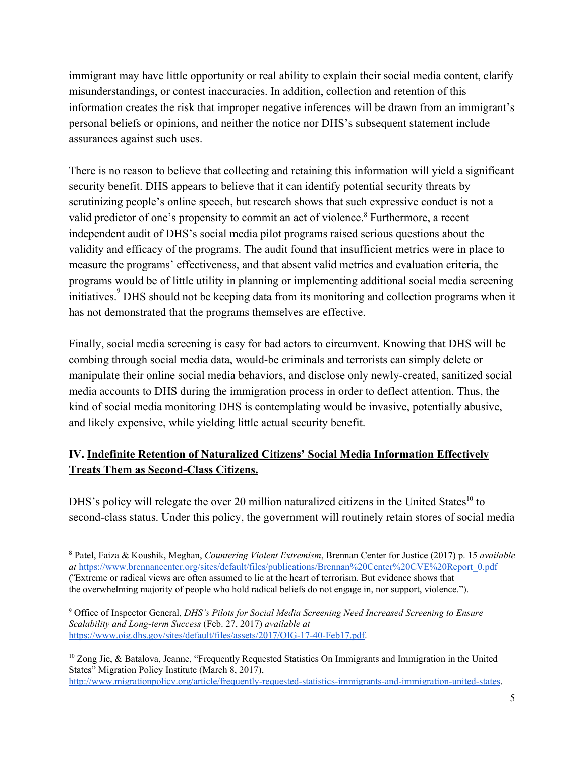immigrant may have little opportunity or real ability to explain their social media content, clarify misunderstandings, or contest inaccuracies. In addition, collection and retention of this information creates the risk that improper negative inferences will be drawn from an immigrant's personal beliefs or opinions, and neither the notice nor DHS's subsequent statement include assurances against such uses.

There is no reason to believe that collecting and retaining this information will yield a significant security benefit. DHS appears to believe that it can identify potential security threats by scrutinizing people's online speech, but research shows that such expressive conduct is not a valid predictor of one's propensity to commit an act of violence.<sup>8</sup> Furthermore, a recent independent audit of DHS's social media pilot programs raised serious questions about the validity and efficacy of the programs. The audit found that insufficient metrics were in place to measure the programs' effectiveness, and that absent valid metrics and evaluation criteria, the programs would be of little utility in planning or implementing additional social media screening initiatives.<sup>9</sup> DHS should not be keeping data from its monitoring and collection programs when it has not demonstrated that the programs themselves are effective.

Finally, social media screening is easy for bad actors to circumvent. Knowing that DHS will be combing through social media data, would-be criminals and terrorists can simply delete or manipulate their online social media behaviors, and disclose only newly-created, sanitized social media accounts to DHS during the immigration process in order to deflect attention. Thus, the kind of social media monitoring DHS is contemplating would be invasive, potentially abusive, and likely expensive, while yielding little actual security benefit.

# **IV. Indefinite Retention of Naturalized Citizens' Social Media Information Effectively Treats Them as Second-Class Citizens.**

DHS's policy will relegate the over 20 million naturalized citizens in the United States<sup>10</sup> to second-class status. Under this policy, the government will routinely retain stores of social media

<sup>8</sup> Patel, Faiza & Koushik, Meghan, *Countering Violent Extremism*, Brennan Center for Justice (2017) p. 15 *available at* [https://www.brennancenter.org/sites/default/files/publications/Brennan%20Center%20CVE%20Report\\_0.pdf](https://www.brennancenter.org/sites/default/files/publications/Brennan%20Center%20CVE%20Report_0.pdf) ("Extreme or radical views are often assumed to lie at the heart of terrorism. But evidence shows that the overwhelming majority of people who hold radical beliefs do not engage in, nor support, violence.").

<sup>9</sup> Office of Inspector General, *DHS's Pilots for Social Media Screening Need Increased Screening to Ensure Scalability and Long-term Success* (Feb. 27, 2017) *available at* [https://www.oig.dhs.gov/sites/default/files/assets/2017/OIG-17-40-Feb17.pdf.](https://www.oig.dhs.gov/sites/default/files/assets/2017/OIG-17-40-Feb17.pdf)

<sup>&</sup>lt;sup>10</sup> Zong Jie, & Batalova, Jeanne, "Frequently Requested Statistics On Immigrants and Immigration in the United States" Migration Policy Institute (March 8, 2017), [http://www.migrationpolicy.org/article/frequently-requested-statistics-immigrants-and-immigration-united-states.](http://www.migrationpolicy.org/article/frequently-requested-statistics-immigrants-and-immigration-united-states)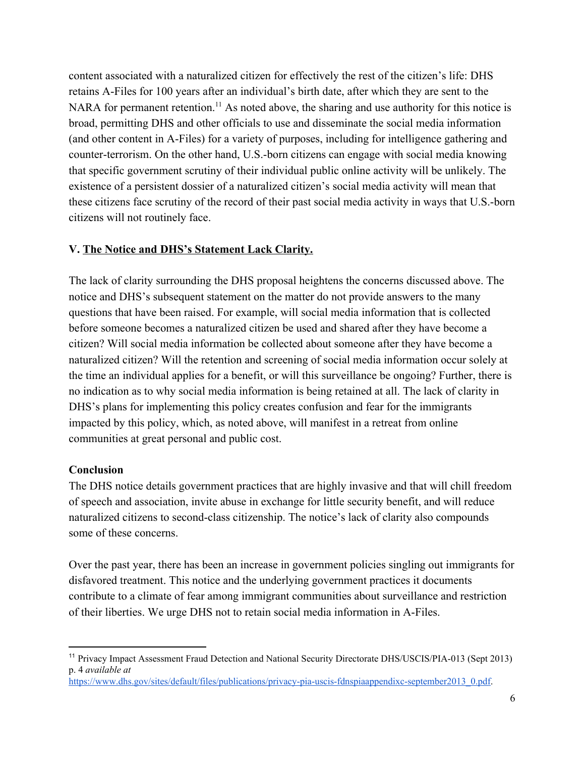content associated with a naturalized citizen for effectively the rest of the citizen's life: DHS retains A-Files for 100 years after an individual's birth date, after which they are sent to the NARA for permanent retention.<sup>11</sup> As noted above, the sharing and use authority for this notice is broad, permitting DHS and other officials to use and disseminate the social media information (and other content in A-Files) for a variety of purposes, including for intelligence gathering and counter-terrorism. On the other hand, U.S.-born citizens can engage with social media knowing that specific government scrutiny of their individual public online activity will be unlikely. The existence of a persistent dossier of a naturalized citizen's social media activity will mean that these citizens face scrutiny of the record of their past social media activity in ways that U.S.-born citizens will not routinely face.

### **V. The Notice and DHS's Statement Lack Clarity.**

The lack of clarity surrounding the DHS proposal heightens the concerns discussed above. The notice and DHS's subsequent statement on the matter do not provide answers to the many questions that have been raised. For example, will social media information that is collected before someone becomes a naturalized citizen be used and shared after they have become a citizen? Will social media information be collected about someone after they have become a naturalized citizen? Will the retention and screening of social media information occur solely at the time an individual applies for a benefit, or will this surveillance be ongoing? Further, there is no indication as to why social media information is being retained at all. The lack of clarity in DHS's plans for implementing this policy creates confusion and fear for the immigrants impacted by this policy, which, as noted above, will manifest in a retreat from online communities at great personal and public cost.

### **Conclusion**

The DHS notice details government practices that are highly invasive and that will chill freedom of speech and association, invite abuse in exchange for little security benefit, and will reduce naturalized citizens to second-class citizenship. The notice's lack of clarity also compounds some of these concerns.

Over the past year, there has been an increase in government policies singling out immigrants for disfavored treatment. This notice and the underlying government practices it documents contribute to a climate of fear among immigrant communities about surveillance and restriction of their liberties. We urge DHS not to retain social media information in A-Files.

<sup>11</sup> Privacy Impact Assessment Fraud Detection and National Security Directorate DHS/USCIS/PIA-013 (Sept 2013) p. 4 *available at*

[https://www.dhs.gov/sites/default/files/publications/privacy-pia-uscis-fdnspiaappendixc-september2013\\_0.pdf.](https://www.dhs.gov/sites/default/files/publications/privacy-pia-uscis-fdnspiaappendixc-september2013_0.pdf)